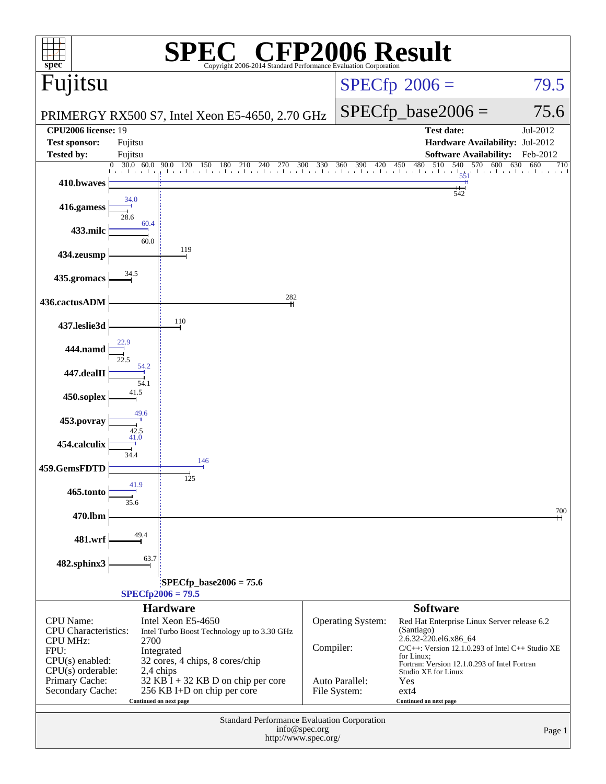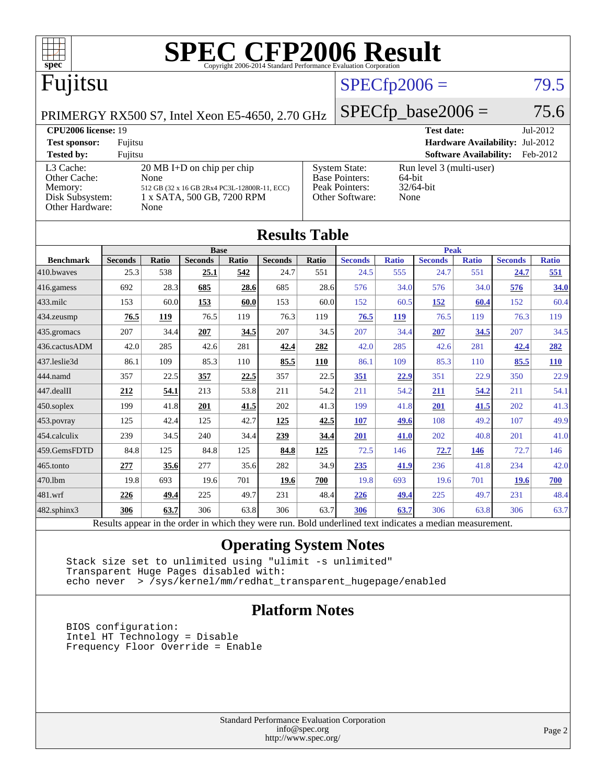

|                                                                                                          | <u>Pas</u>     |              |                |       |                |       | 1 vun          |              |                |              |                |              |
|----------------------------------------------------------------------------------------------------------|----------------|--------------|----------------|-------|----------------|-------|----------------|--------------|----------------|--------------|----------------|--------------|
| <b>Benchmark</b>                                                                                         | <b>Seconds</b> | <b>Ratio</b> | <b>Seconds</b> | Ratio | <b>Seconds</b> | Ratio | <b>Seconds</b> | <b>Ratio</b> | <b>Seconds</b> | <b>Ratio</b> | <b>Seconds</b> | <b>Ratio</b> |
| 410.bwayes                                                                                               | 25.3           | 538          | 25.1           | 542   | 24.7           | 551   | 24.5           | 555          | 24.7           | 551          | 24.7           | 551          |
| 416.gamess                                                                                               | 692            | 28.3         | 685            | 28.6  | 685            | 28.6  | 576            | 34.0         | 576            | 34.0         | 576            | 34.0         |
| $433$ .milc                                                                                              | 153            | 60.0         | 153            | 60.0  | 153            | 60.0  | 152            | 60.5         | 152            | 60.4         | 152            | 60.4         |
| 434.zeusmp                                                                                               | 76.5           | 119          | 76.5           | 119   | 76.3           | 119   | 76.5           | <u>119</u>   | 76.5           | 119          | 76.3           | 119          |
| 435.gromacs                                                                                              | 207            | 34.4         | 207            | 34.5  | 207            | 34.5  | 207            | 34.4         | 207            | 34.5         | 207            | 34.5         |
| 436.cactusADM                                                                                            | 42.0           | 285          | 42.6           | 281   | 42.4           | 282   | 42.0           | 285          | 42.6           | 281          | 42.4           | 282          |
| 437.leslie3d                                                                                             | 86.1           | 109          | 85.3           | 110   | 85.5           | 110   | 86.1           | 109          | 85.3           | 110          | 85.5           | 110          |
| 444.namd                                                                                                 | 357            | 22.5         | 357            | 22.5  | 357            | 22.5  | 351            | 22.9         | 351            | 22.9         | 350            | 22.9         |
| 447.dealII                                                                                               | 212            | 54.1         | 213            | 53.8  | 211            | 54.2  | 211            | 54.2         | 211            | 54.2         | 211            | 54.1         |
| 450.soplex                                                                                               | 199            | 41.8         | 201            | 41.5  | 202            | 41.3  | 199            | 41.8         | <b>201</b>     | 41.5         | 202            | 41.3         |
| $453$ .povray                                                                                            | 125            | 42.4         | 125            | 42.7  | <u>125</u>     | 42.5  | 107            | 49.6         | 108            | 49.2         | 107            | 49.9         |
| 454.calculix                                                                                             | 239            | 34.5         | 240            | 34.4  | 239            | 34.4  | 201            | 41.0         | 202            | 40.8         | 201            | 41.0         |
| 459.GemsFDTD                                                                                             | 84.8           | 125          | 84.8           | 125   | 84.8           | 125   | 72.5           | 146          | 72.7           | 146          | 72.7           | 146          |
| 465.tonto                                                                                                | 277            | 35.6         | 277            | 35.6  | 282            | 34.9  | 235            | 41.9         | 236            | 41.8         | 234            | 42.0         |
| 470.1bm                                                                                                  | 19.8           | 693          | 19.6           | 701   | 19.6           | 700   | 19.8           | 693          | 19.6           | 701          | <b>19.6</b>    | 700          |
| 481.wrf                                                                                                  | 226            | 49.4         | 225            | 49.7  | 231            | 48.4  | 226            | 49.4         | 225            | 49.7         | 231            | 48.4         |
| $482$ .sphinx $3$                                                                                        | 306            | 63.7         | 306            | 63.8  | 306            | 63.7  | 306            | 63.7         | 306            | 63.8         | 306            | 63.7         |
| Results appear in the order in which they were run. Bold underlined text indicates a median measurement. |                |              |                |       |                |       |                |              |                |              |                |              |

### **[Operating System Notes](http://www.spec.org/auto/cpu2006/Docs/result-fields.html#OperatingSystemNotes)**

 Stack size set to unlimited using "ulimit -s unlimited" Transparent Huge Pages disabled with: echo never > /sys/kernel/mm/redhat\_transparent\_hugepage/enabled

### **[Platform Notes](http://www.spec.org/auto/cpu2006/Docs/result-fields.html#PlatformNotes)**

 BIOS configuration: Intel HT Technology = Disable Frequency Floor Override = Enable

> Standard Performance Evaluation Corporation [info@spec.org](mailto:info@spec.org) <http://www.spec.org/>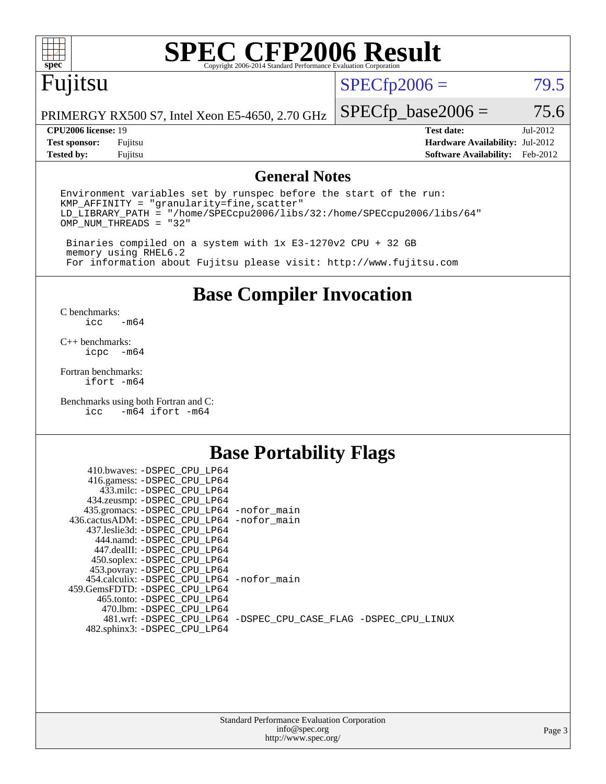

# **[SPEC CFP2006 Result](http://www.spec.org/auto/cpu2006/Docs/result-fields.html#SPECCFP2006Result)**

## Fujitsu

 $SPECfp2006 = 79.5$  $SPECfp2006 = 79.5$ 

PRIMERGY RX500 S7, Intel Xeon E5-4650, 2.70 GHz

**[Tested by:](http://www.spec.org/auto/cpu2006/Docs/result-fields.html#Testedby)** Fujitsu **[Software Availability:](http://www.spec.org/auto/cpu2006/Docs/result-fields.html#SoftwareAvailability)** Feb-2012

 $SPECfp\_base2006 = 75.6$ **[CPU2006 license:](http://www.spec.org/auto/cpu2006/Docs/result-fields.html#CPU2006license)** 19 **[Test date:](http://www.spec.org/auto/cpu2006/Docs/result-fields.html#Testdate)** Jul-2012 **[Test sponsor:](http://www.spec.org/auto/cpu2006/Docs/result-fields.html#Testsponsor)** Fujitsu **[Hardware Availability:](http://www.spec.org/auto/cpu2006/Docs/result-fields.html#HardwareAvailability)** Jul-2012

### **[General Notes](http://www.spec.org/auto/cpu2006/Docs/result-fields.html#GeneralNotes)**

Environment variables set by runspec before the start of the run: KMP\_AFFINITY = "granularity=fine,scatter" LD\_LIBRARY\_PATH = "/home/SPECcpu2006/libs/32:/home/SPECcpu2006/libs/64" OMP\_NUM\_THREADS = "32"

 Binaries compiled on a system with 1x E3-1270v2 CPU + 32 GB memory using RHEL6.2 For information about Fujitsu please visit: <http://www.fujitsu.com>

**[Base Compiler Invocation](http://www.spec.org/auto/cpu2006/Docs/result-fields.html#BaseCompilerInvocation)**

 $C$  benchmarks:<br>icc  $-m64$ 

[C++ benchmarks:](http://www.spec.org/auto/cpu2006/Docs/result-fields.html#CXXbenchmarks) [icpc -m64](http://www.spec.org/cpu2006/results/res2012q3/cpu2006-20120730-23898.flags.html#user_CXXbase_intel_icpc_64bit_bedb90c1146cab66620883ef4f41a67e)

[Fortran benchmarks](http://www.spec.org/auto/cpu2006/Docs/result-fields.html#Fortranbenchmarks): [ifort -m64](http://www.spec.org/cpu2006/results/res2012q3/cpu2006-20120730-23898.flags.html#user_FCbase_intel_ifort_64bit_ee9d0fb25645d0210d97eb0527dcc06e)

[Benchmarks using both Fortran and C](http://www.spec.org/auto/cpu2006/Docs/result-fields.html#BenchmarksusingbothFortranandC): [icc -m64](http://www.spec.org/cpu2006/results/res2012q3/cpu2006-20120730-23898.flags.html#user_CC_FCbase_intel_icc_64bit_0b7121f5ab7cfabee23d88897260401c) [ifort -m64](http://www.spec.org/cpu2006/results/res2012q3/cpu2006-20120730-23898.flags.html#user_CC_FCbase_intel_ifort_64bit_ee9d0fb25645d0210d97eb0527dcc06e)

### **[Base Portability Flags](http://www.spec.org/auto/cpu2006/Docs/result-fields.html#BasePortabilityFlags)**

| 410.bwaves: -DSPEC CPU LP64                |                                                                |
|--------------------------------------------|----------------------------------------------------------------|
| 416.gamess: -DSPEC_CPU_LP64                |                                                                |
| 433.milc: -DSPEC CPU LP64                  |                                                                |
| 434.zeusmp: -DSPEC_CPU_LP64                |                                                                |
| 435.gromacs: -DSPEC_CPU_LP64 -nofor_main   |                                                                |
| 436.cactusADM: -DSPEC CPU LP64 -nofor main |                                                                |
| 437.leslie3d: -DSPEC CPU LP64              |                                                                |
| 444.namd: -DSPEC CPU LP64                  |                                                                |
| 447.dealII: -DSPEC CPU LP64                |                                                                |
| 450.soplex: -DSPEC_CPU_LP64                |                                                                |
| 453.povray: -DSPEC_CPU_LP64                |                                                                |
| 454.calculix: -DSPEC CPU LP64 -nofor main  |                                                                |
| 459. GemsFDTD: - DSPEC CPU LP64            |                                                                |
| 465.tonto: - DSPEC CPU LP64                |                                                                |
| 470.1bm: - DSPEC CPU LP64                  |                                                                |
|                                            | 481.wrf: -DSPEC CPU_LP64 -DSPEC_CPU_CASE_FLAG -DSPEC_CPU_LINUX |
| 482.sphinx3: -DSPEC_CPU_LP64               |                                                                |
|                                            |                                                                |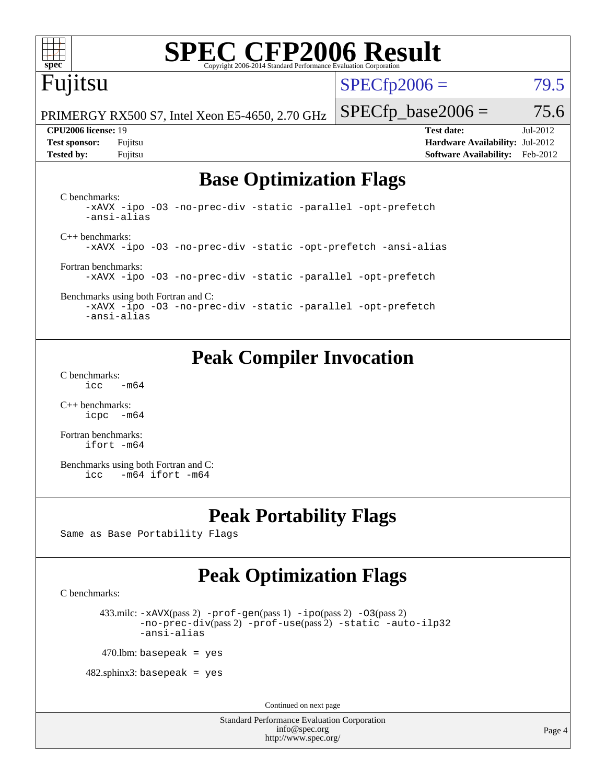

# **[SPEC CFP2006 Result](http://www.spec.org/auto/cpu2006/Docs/result-fields.html#SPECCFP2006Result)**

## Fujitsu

 $SPECTp2006 = 79.5$ 

PRIMERGY RX500 S7, Intel Xeon E5-4650, 2.70 GHz

**[Tested by:](http://www.spec.org/auto/cpu2006/Docs/result-fields.html#Testedby)** Fujitsu **[Software Availability:](http://www.spec.org/auto/cpu2006/Docs/result-fields.html#SoftwareAvailability)** Feb-2012

 $SPECfp\_base2006 = 75.6$ **[CPU2006 license:](http://www.spec.org/auto/cpu2006/Docs/result-fields.html#CPU2006license)** 19 **[Test date:](http://www.spec.org/auto/cpu2006/Docs/result-fields.html#Testdate)** Jul-2012 **[Test sponsor:](http://www.spec.org/auto/cpu2006/Docs/result-fields.html#Testsponsor)** Fujitsu **[Hardware Availability:](http://www.spec.org/auto/cpu2006/Docs/result-fields.html#HardwareAvailability)** Jul-2012

### **[Base Optimization Flags](http://www.spec.org/auto/cpu2006/Docs/result-fields.html#BaseOptimizationFlags)**

[C benchmarks](http://www.spec.org/auto/cpu2006/Docs/result-fields.html#Cbenchmarks): [-xAVX](http://www.spec.org/cpu2006/results/res2012q3/cpu2006-20120730-23898.flags.html#user_CCbase_f-xAVX) [-ipo](http://www.spec.org/cpu2006/results/res2012q3/cpu2006-20120730-23898.flags.html#user_CCbase_f-ipo) [-O3](http://www.spec.org/cpu2006/results/res2012q3/cpu2006-20120730-23898.flags.html#user_CCbase_f-O3) [-no-prec-div](http://www.spec.org/cpu2006/results/res2012q3/cpu2006-20120730-23898.flags.html#user_CCbase_f-no-prec-div) [-static](http://www.spec.org/cpu2006/results/res2012q3/cpu2006-20120730-23898.flags.html#user_CCbase_f-static) [-parallel](http://www.spec.org/cpu2006/results/res2012q3/cpu2006-20120730-23898.flags.html#user_CCbase_f-parallel) [-opt-prefetch](http://www.spec.org/cpu2006/results/res2012q3/cpu2006-20120730-23898.flags.html#user_CCbase_f-opt-prefetch) [-ansi-alias](http://www.spec.org/cpu2006/results/res2012q3/cpu2006-20120730-23898.flags.html#user_CCbase_f-ansi-alias) [C++ benchmarks:](http://www.spec.org/auto/cpu2006/Docs/result-fields.html#CXXbenchmarks) [-xAVX](http://www.spec.org/cpu2006/results/res2012q3/cpu2006-20120730-23898.flags.html#user_CXXbase_f-xAVX) [-ipo](http://www.spec.org/cpu2006/results/res2012q3/cpu2006-20120730-23898.flags.html#user_CXXbase_f-ipo) [-O3](http://www.spec.org/cpu2006/results/res2012q3/cpu2006-20120730-23898.flags.html#user_CXXbase_f-O3) [-no-prec-div](http://www.spec.org/cpu2006/results/res2012q3/cpu2006-20120730-23898.flags.html#user_CXXbase_f-no-prec-div) [-static](http://www.spec.org/cpu2006/results/res2012q3/cpu2006-20120730-23898.flags.html#user_CXXbase_f-static) [-opt-prefetch](http://www.spec.org/cpu2006/results/res2012q3/cpu2006-20120730-23898.flags.html#user_CXXbase_f-opt-prefetch) [-ansi-alias](http://www.spec.org/cpu2006/results/res2012q3/cpu2006-20120730-23898.flags.html#user_CXXbase_f-ansi-alias) [Fortran benchmarks](http://www.spec.org/auto/cpu2006/Docs/result-fields.html#Fortranbenchmarks): [-xAVX](http://www.spec.org/cpu2006/results/res2012q3/cpu2006-20120730-23898.flags.html#user_FCbase_f-xAVX) [-ipo](http://www.spec.org/cpu2006/results/res2012q3/cpu2006-20120730-23898.flags.html#user_FCbase_f-ipo) [-O3](http://www.spec.org/cpu2006/results/res2012q3/cpu2006-20120730-23898.flags.html#user_FCbase_f-O3) [-no-prec-div](http://www.spec.org/cpu2006/results/res2012q3/cpu2006-20120730-23898.flags.html#user_FCbase_f-no-prec-div) [-static](http://www.spec.org/cpu2006/results/res2012q3/cpu2006-20120730-23898.flags.html#user_FCbase_f-static) [-parallel](http://www.spec.org/cpu2006/results/res2012q3/cpu2006-20120730-23898.flags.html#user_FCbase_f-parallel) [-opt-prefetch](http://www.spec.org/cpu2006/results/res2012q3/cpu2006-20120730-23898.flags.html#user_FCbase_f-opt-prefetch)

[Benchmarks using both Fortran and C](http://www.spec.org/auto/cpu2006/Docs/result-fields.html#BenchmarksusingbothFortranandC): [-xAVX](http://www.spec.org/cpu2006/results/res2012q3/cpu2006-20120730-23898.flags.html#user_CC_FCbase_f-xAVX) [-ipo](http://www.spec.org/cpu2006/results/res2012q3/cpu2006-20120730-23898.flags.html#user_CC_FCbase_f-ipo) [-O3](http://www.spec.org/cpu2006/results/res2012q3/cpu2006-20120730-23898.flags.html#user_CC_FCbase_f-O3) [-no-prec-div](http://www.spec.org/cpu2006/results/res2012q3/cpu2006-20120730-23898.flags.html#user_CC_FCbase_f-no-prec-div) [-static](http://www.spec.org/cpu2006/results/res2012q3/cpu2006-20120730-23898.flags.html#user_CC_FCbase_f-static) [-parallel](http://www.spec.org/cpu2006/results/res2012q3/cpu2006-20120730-23898.flags.html#user_CC_FCbase_f-parallel) [-opt-prefetch](http://www.spec.org/cpu2006/results/res2012q3/cpu2006-20120730-23898.flags.html#user_CC_FCbase_f-opt-prefetch) [-ansi-alias](http://www.spec.org/cpu2006/results/res2012q3/cpu2006-20120730-23898.flags.html#user_CC_FCbase_f-ansi-alias)

### **[Peak Compiler Invocation](http://www.spec.org/auto/cpu2006/Docs/result-fields.html#PeakCompilerInvocation)**

[C benchmarks](http://www.spec.org/auto/cpu2006/Docs/result-fields.html#Cbenchmarks):  $\text{icc}$  -m64

[C++ benchmarks:](http://www.spec.org/auto/cpu2006/Docs/result-fields.html#CXXbenchmarks) [icpc -m64](http://www.spec.org/cpu2006/results/res2012q3/cpu2006-20120730-23898.flags.html#user_CXXpeak_intel_icpc_64bit_bedb90c1146cab66620883ef4f41a67e)

[Fortran benchmarks](http://www.spec.org/auto/cpu2006/Docs/result-fields.html#Fortranbenchmarks): [ifort -m64](http://www.spec.org/cpu2006/results/res2012q3/cpu2006-20120730-23898.flags.html#user_FCpeak_intel_ifort_64bit_ee9d0fb25645d0210d97eb0527dcc06e)

[Benchmarks using both Fortran and C](http://www.spec.org/auto/cpu2006/Docs/result-fields.html#BenchmarksusingbothFortranandC): [icc -m64](http://www.spec.org/cpu2006/results/res2012q3/cpu2006-20120730-23898.flags.html#user_CC_FCpeak_intel_icc_64bit_0b7121f5ab7cfabee23d88897260401c) [ifort -m64](http://www.spec.org/cpu2006/results/res2012q3/cpu2006-20120730-23898.flags.html#user_CC_FCpeak_intel_ifort_64bit_ee9d0fb25645d0210d97eb0527dcc06e)

### **[Peak Portability Flags](http://www.spec.org/auto/cpu2006/Docs/result-fields.html#PeakPortabilityFlags)**

Same as Base Portability Flags

### **[Peak Optimization Flags](http://www.spec.org/auto/cpu2006/Docs/result-fields.html#PeakOptimizationFlags)**

[C benchmarks](http://www.spec.org/auto/cpu2006/Docs/result-fields.html#Cbenchmarks):

433.milc:  $-x$ AVX(pass 2)  $-p$ rof-gen(pass 1)  $-p$ po(pass 2)  $-03$ (pass 2) [-no-prec-div](http://www.spec.org/cpu2006/results/res2012q3/cpu2006-20120730-23898.flags.html#user_peakPASS2_CFLAGSPASS2_LDFLAGS433_milc_f-no-prec-div)(pass 2) [-prof-use](http://www.spec.org/cpu2006/results/res2012q3/cpu2006-20120730-23898.flags.html#user_peakPASS2_CFLAGSPASS2_LDFLAGS433_milc_prof_use_bccf7792157ff70d64e32fe3e1250b55)(pass 2) [-static](http://www.spec.org/cpu2006/results/res2012q3/cpu2006-20120730-23898.flags.html#user_peakOPTIMIZE433_milc_f-static) [-auto-ilp32](http://www.spec.org/cpu2006/results/res2012q3/cpu2006-20120730-23898.flags.html#user_peakCOPTIMIZE433_milc_f-auto-ilp32) [-ansi-alias](http://www.spec.org/cpu2006/results/res2012q3/cpu2006-20120730-23898.flags.html#user_peakCOPTIMIZE433_milc_f-ansi-alias)

 $470$ .lbm: basepeak = yes

 $482$ .sphinx3: basepeak = yes

Continued on next page

Standard Performance Evaluation Corporation [info@spec.org](mailto:info@spec.org) <http://www.spec.org/>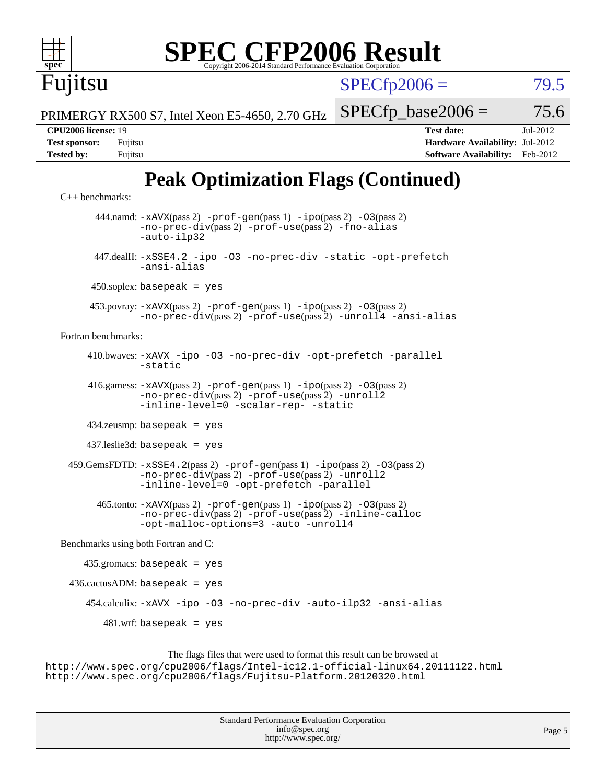# **[SPEC CFP2006 Result](http://www.spec.org/auto/cpu2006/Docs/result-fields.html#SPECCFP2006Result)**

 $SPECTp2006 = 79.5$ 

PRIMERGY RX500 S7, Intel Xeon E5-4650, 2.70 GHz

**[Tested by:](http://www.spec.org/auto/cpu2006/Docs/result-fields.html#Testedby)** Fujitsu **[Software Availability:](http://www.spec.org/auto/cpu2006/Docs/result-fields.html#SoftwareAvailability)** Feb-2012

 $SPECTp\_base2006 = 75.6$ 

## **[Peak Optimization Flags \(Continued\)](http://www.spec.org/auto/cpu2006/Docs/result-fields.html#PeakOptimizationFlags)**

```
C++ benchmarks: 
       444.namd: -xAVX(pass 2) -prof-gen(pass 1) -ipo(pass 2) -O3(pass 2)
               -no-prec-div(pass 2) -prof-use(pass 2) -fno-alias
               -auto-ilp32
       447.dealII: -xSSE4.2 -ipo -O3 -no-prec-div -static -opt-prefetch
               -ansi-alias
      450.soplex: basepeak = yes
      453.povray: -xAVX(pass 2) -prof-gen(pass 1) -ipo(pass 2) -O3(pass 2)
               -no-prec-div(pass 2) -prof-use(pass 2) -unroll4 -ansi-alias
Fortran benchmarks: 
      410.bwaves: -xAVX -ipo -O3 -no-prec-div -opt-prefetch -parallel
               -static
      416.gamess: -xAVX(pass 2) -prof-gen(pass 1) -ipo(pass 2) -O3(pass 2)
               -no-prec-div(pass 2) -prof-use(pass 2) -unroll2
               -inline-level=0-scalar-rep--static
      434.zeusmp: basepeak = yes
      437.leslie3d: basepeak = yes
 -xSSE4.2-prof-gen-ipo-O3(pass 2)-no-prec-div(pass 2) -prof-use(pass 2) -unroll2
               -inline-level=0 -opt-prefetch -parallel
        465.tonto: -xAVX(pass 2) -prof-gen(pass 1) -ipo(pass 2) -O3(pass 2)
               -no-prec-div(pass 2) -prof-use(pass 2) -inline-calloc
               -opt-malloc-options=3 -auto -unroll4
Benchmarks using both Fortran and C: 
     435.gromacs: basepeak = yes
 436.cactusADM:basepeak = yes 454.calculix: -xAVX -ipo -O3 -no-prec-div -auto-ilp32 -ansi-alias
        481.wrf: basepeak = yes
                    The flags files that were used to format this result can be browsed at
```
<http://www.spec.org/cpu2006/flags/Intel-ic12.1-official-linux64.20111122.html> <http://www.spec.org/cpu2006/flags/Fujitsu-Platform.20120320.html>